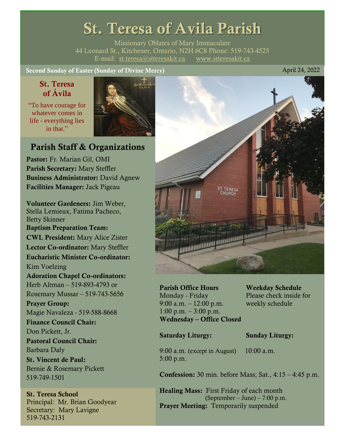# St. Teresa of Avila Parish

Missionary Oblates of Mary Immaculate 44 Leonard St., Kitchener, Ontario, N2H 6C8 Phone: 519-743-4525 E-mail: [st.teresa@stteresakit.ca](mailto:st.teresa@stteresakit.ca) [www.stteresakit.ca](http://www.stteresakit.ca/)

Second Sunday of Easter (Sunday of Divine Mercy) April 24, 2022

### St. Teresa of Ávila

"To have courage for whatever comes in life - everything lies in that"



### Parish Staff & Organizations

Pastor: Fr. Marian Gil, OMI Parish Secretary: Mary Steffler Business Administrator: David Agnew Facilities Manager: Jack Pigeau

Volunteer Gardeners: Jim Weber, Stella Lemieux, Fatima Pacheco, Betty Skinner Baptism Preparation Team: CWL President: Mary Alice Zister Lector Co-ordinator: Mary Steffler Eucharistic Minister Co-ordinator: Kim Voelzing Adoration Chapel Co-ordinators: Herb Altman – 519-893-4793 or Rosemary Mussar – 519-743-5656 Prayer Group: Magie Navaleza - 519-588-8668 Finance Council Chair: Don Pickett, Jr. Pastoral Council Chair: Barbara Daly St. Vincent de Paul: Bernie & Rosemary Pickett 519-749-1501

### St. Teresa School Principal: Mr. Brian Goodyear Secretary: Mary Lavigne 519-743-2131



Parish Office Hours Weekday Schedule Monday - Friday Please check inside for 9:00 a.m. – 12:00 p.m. weekly schedule  $1:00 \text{ p.m.} - 3:00 \text{ p.m.}$ Wednesday – Office Closed

### Saturday Liturgy: Sunday Liturgy:

9:00 a.m. (except in August) 10:00 a.m. 5:00 p.m.

Confession: 30 min. before Mass; Sat., 4:15 – 4:45 p.m.

Healing Mass: First Friday of each month (September – June) – 7:00 p.m. Prayer Meeting: Temporarily suspended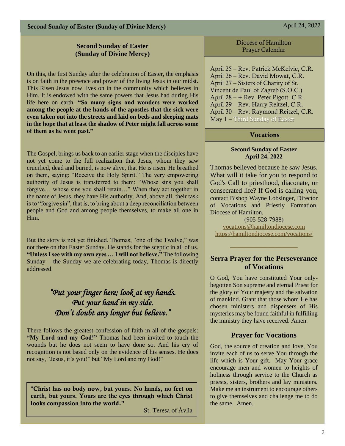Second Sunday of Easter (Sunday of Divine Mercy) April 24, 2022

### **Second Sunday of Easter (Sunday of Divine Mercy)**

On this, the first Sunday after the celebration of Easter, the emphasis is on faith in the presence and power of the living Jesus in our midst. This Risen Jesus now lives on in the community which believes in Him. It is endowed with the same powers that Jesus had during His life here on earth. **"So many signs and wonders were worked among the people at the hands of the apostles that the sick were even taken out into the streets and laid on beds and sleeping mats in the hope that at least the shadow of Peter might fall across some of them as he went past."**

The Gospel, brings us back to an earlier stage when the disciples have not yet come to the full realization that Jesus, whom they saw crucified, dead and buried, is now alive, that He is risen. He breathed on them, saying: "Receive the Holy Spirit." The very empowering authority of Jesus is transferred to them: "Whose sins you shall forgive… whose sins you shall retain…" When they act together in the name of Jesus, they have His authority. And, above all, their task is to "forgive sin", that is, to bring about a deep reconciliation between people and God and among people themselves, to make all one in Him.

But the story is not yet finished. Thomas, "one of the Twelve," was not there on that Easter Sunday. He stands for the sceptic in all of us. **"Unless I see with my own eyes … I will not believe."** The following Sunday – the Sunday we are celebrating today, Thomas is directly addressed.

### *"Put your finger here; look at my hands. Put your hand in my side. Don't doubt any longer but believe."*

There follows the greatest confession of faith in all of the gospels: **"My Lord and my God!"** Thomas had been invited to touch the wounds but he does not seem to have done so. And his cry of recognition is not based only on the evidence of his senses. He does not say, "Jesus, it's you!" but "My Lord and my God!"

"Christ has no body now, but yours. No hands, no feet on earth, but yours. Yours are the eyes through which Christ looks compassion into the world."

St. Teresa of Ávila

Diocese of Hamilton Prayer Calendar

April 25 – Rev. Patrick McKelvie, C.R. April 26 – Rev. David Mowat, C.R. April 27 – Sisters of Charity of St. Vincent de Paul of Zagreb (S.O.C.) April 28 – + Rev. Peter Pigott. C.R. April 29 – Rev. Harry Reitzel, C.R. April 30 – Rev. Raymond Reitzel, C.R. May 1 – Third Sunday of Easter

### Vocations

#### **Second Sunday of Easter April 24, 2022**

Thomas believed because he saw Jesus. What will it take for you to respond to God's Call to priesthood, diaconate, or consecrated life? If God is calling you, contact Bishop Wayne Lobsinger, Director of Vocations and Priestly Formation, Diocese of Hamilton,

(905-528-7988) [vocations@hamiltondiocese.com](mailto:vocations@hamiltondiocese.com)  <https://hamiltondiocese.com/vocations/>

### **Serra Prayer for the Perseverance of Vocations**

O God, You have constituted Your onlybegotten Son supreme and eternal Priest for the glory of Your majesty and the salvation of mankind. Grant that those whom He has chosen ministers and dispensers of His mysteries may be found faithful in fulfilling the ministry they have received. Amen.

### **Prayer for Vocations**

God, the source of creation and love, You invite each of us to serve You through the life which is Your gift. May Your grace encourage men and women to heights of holiness through service to the Church as priests, sisters, brothers and lay ministers. Make me an instrument to encourage others to give themselves and challenge me to do the same. Amen.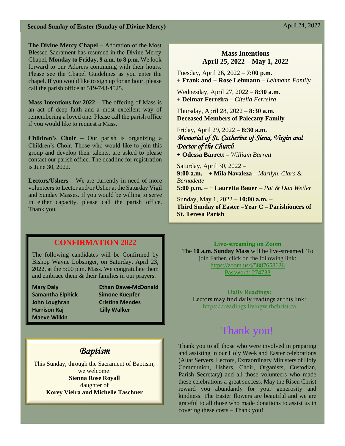**The Divine Mercy Chapel** – Adoration of the Most Blessed Sacrament has resumed in the Divine Mercy Chapel, **Monday to Friday, 9 a.m. to 8 p.m.** We look forward to our Adorers continuing with their hours. Please see the Chapel Guidelines as you enter the chapel. If you would like to sign up for an hour, please call the parish office at 519-743-4525.

**Mass Intentions for 2022** – The offering of Mass is an act of deep faith and a most excellent way of remembering a loved one. Please call the parish office if you would like to request a Mass.

**Children's Choir** – Our parish is organizing a Children's Choir. Those who would like to join this group and develop their talents, are asked to please contact our parish office. The deadline for registration is June 30, 2022.

**Lectors/Ushers** – We are currently in need of more volunteers to Lector and/or Usher at the Saturday Vigil and Sunday Masses. If you would be willing to serve in either capacity, please call the parish office. Thank you.

### **Mass Intentions April 25, 2022 – May 1, 2022**

Tuesday, April 26, 2022 – **7:00 p.m. + Frank and + Rose Lehmann** *– Lehmann Family* 

Wednesday, April 27, 2022 – **8:30 a.m. + Delmar Ferreira –** *Citelia Ferreira*

Thursday, April 28, 2022 – **8:30 a.m. Deceased Members of Paleczny Family**

Friday, April 29, 2022 – **8:30 a.m.** *Memorial of St. Catherine of Siena, Virgin and Doctor of the Church* 

**+ Odessa Barrett –** *William Barrett*

Saturday, April 30, 2022 – **9:00 a.m.** – **+ Mila Navaleza –** *Marilyn, Clara & Bernadette* **5:00 p.m.** – **+ Lauretta Bauer** – *Pat & Dan Weiler*

Sunday, May 1, 2022 – **10:00 a.m.** – **Third Sunday of Easter –Year C – Parishioners of St. Teresa Parish** 

### **CONFIRMATION 2022**

The following candidates will be Confirmed by Bishop Wayne Lobsinger, on Saturday, April 23, 2022, at the 5:00 p.m. Mass. We congratulate them and embrace them & their families in our prayers.

**Samantha Elphick Simone Kuepfer John Loughran Cristina Mendes Harrison Raj Lilly Walker Maeve Wilkin**

**Mary Daly Ethan Dawe-McDonald**

#### Live-streaming on Zoom

The **10 a.m. Sunday Mass** will be live-streamed. To join Father, click on the following link: <https://zoom.us/j/5887658626> Password: 274733

Daily Readings: Lectors may find daily readings at this link: [https://readings.livingwithchrist.ca](https://readings.livingwithchrist.ca/)

### Thank you!

### *Baptism*

This Sunday, through the Sacrament of Baptism, we welcome: **Sienna Rose Royall** daughter of **Korey Vieira and Michelle Taschner**

Thank you to all those who were involved in preparing and assisting in our Holy Week and Easter celebrations (Altar Servers, Lectors, Extraordinary Ministers of Holy Communion, Ushers, Choir, Organists, Custodian, Parish Secretary) and all those volunteers who made these celebrations a great success. May the Risen Christ reward you abundantly for your generosity and kindness. The Easter flowers are beautiful and we are grateful to all those who made donations to assist us in covering these costs – Thank you!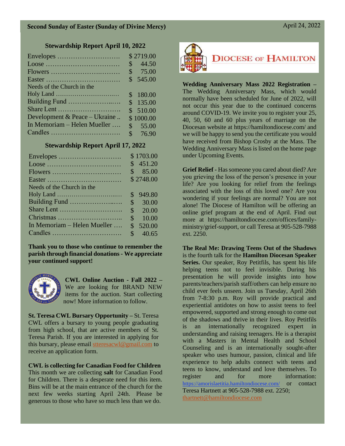### **Stewardship Report April 10, 2022**

|                               | \$2719.00               |
|-------------------------------|-------------------------|
|                               | 44.50<br>\$             |
|                               | \$<br>75.00             |
|                               | \$545.00                |
| Needs of the Church in the    |                         |
|                               | 180.00<br>$\mathcal{S}$ |
| Building Fund                 | \$135.00                |
|                               | \$510.00                |
| Development & Peace – Ukraine | \$1000.00               |
| In Memoriam - Helen Mueller   | \$55.00                 |
|                               | \$76.90                 |

### **Stewardship Report April 17, 2022**

|                             |               | \$1703.00 |
|-----------------------------|---------------|-----------|
|                             |               | \$451.20  |
|                             | $\mathbb{S}$  | 85.00     |
|                             |               | \$2748.00 |
| Needs of the Church in the  |               |           |
|                             | \$            | 949.80    |
|                             | $\mathcal{S}$ | 30.00     |
|                             | \$            | 20.00     |
|                             | \$            | 10.00     |
| In Memoriam - Helen Mueller | \$            | 520.00    |
|                             | \$            | 40.65     |

**Thank you to those who continue to remember the parish through financial donations - We appreciate your continued support!** 



**CWL Online Auction - Fall 2022 –** We are looking for BRAND NEW items for the auction. Start collecting now! More information to follow.

**St. Teresa CWL Bursary Opportunity –** St. Teresa CWL offers a bursary to young people graduating from high school, that are active members of St. Teresa Parish. If you are interested in applying for this bursary, please email [stteresacwl@gmail.com](mailto:stteresacwl@gmail.com) to receive an application form.

### **CWL is collecting for Canadian Food for Children**

This month we are collecting **salt** for Canadian Food for Children. There is a desperate need for this item. Bins will be at the main entrance of the church for the next few weeks starting April 24th. Please be generous to those who have so much less than we do.



### **DIOCESE OF HAMILTON**

**Wedding Anniversary Mass 2022 Registration –** The Wedding Anniversary Mass, which would normally have been scheduled for June of 2022, will not occur this year due to the continued concerns around COVID-19. We invite you to register your 25, 40, 50, 60 and 60 plus years of marriage on the Diocesan website at https://hamiltondiocese.com/ and we will be happy to send you the certificate you would have received from Bishop Crosby at the Mass. The Wedding Anniversary Mass is listed on the home page under Upcoming Events.

**Grief Relief -** Has someone you cared about died? Are you grieving the loss of the person's presence in your life? Are you looking for relief from the feelings associated with the loss of this loved one? Are you wondering if your feelings are normal? You are not alone! The Diocese of Hamilton will be offering an online grief program at the end of April. Find out more at https://hamiltondiocese.com/offices/familyministry/grief-support, or call Teresa at 905-528-7988 ext. 2250.

**The Real Me: Drawing Teens Out of the Shadows**  is the fourth talk for the **Hamilton Diocesan Speaker Series.** Our speaker, Roy Petitfils, has spent his life helping teens not to feel invisible. During his presentation he will provide insights into how parents/teachers/parish staff/others can help ensure no child ever feels unseen. Join us Tuesday, April 26th from 7-8:30 p.m. Roy will provide practical and experiential antidotes on how to assist teens to feel empowered, supported and strong enough to come out of the shadows and thrive in their lives. Roy Petitfils is an internationally recognized expert in understanding and raising teenagers. He is a therapist with a Masters in Mental Health and School Counseling and is an internationally sought-after speaker who uses humour, passion, clinical and life experience to help adults connect with teens and teens to know, understand and love themselves. To register and for more information: <https://amorislaetitia.hamiltondiocese.com/> or contact Teresa Hartnett at 905-528-7988 ext. 2250; [thartnett@hamiltondiocese.com](mailto:thartnett@hamiltondiocese.com)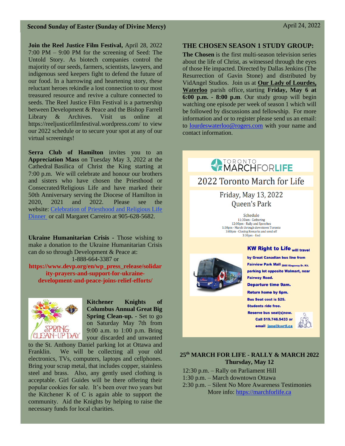### Second Sunday of Easter (Sunday of Divine Mercy) April 24, 2022

**Join the Reel Justice Film Festival,** April 28, 2022 7:00 PM – 9:00 PM for the screening of Seed: The Untold Story. As biotech companies control the majority of our seeds, farmers, scientists, lawyers, and indigenous seed keepers fight to defend the future of our food. In a harrowing and heartening story, these reluctant heroes rekindle a lost connection to our most treasured resource and revive a culture connected to seeds. The Reel Justice Film Festival is a partnership between Development & Peace and the Bishop Farrell Library & Archives. Visit us online at https://reeljusticefilmfestival.wordpress.com/ to view our 2022 schedule or to secure your spot at any of our virtual screenings!

**Serra Club of Hamilton** invites you to an **Appreciation Mass** on Tuesday May 3, 2022 at the Cathedral Basilica of Christ the King starting at 7:00 p.m. We will celebrate and honour our brothers and sisters who have chosen the Priesthood or Consecrated/Religious Life and have marked their 50th Anniversary serving the Diocese of Hamilton in 2020, 2021 and 2022. Please see the website: [Celebration of Priesthood and Religious Life](https://celebrationprl.wixsite.com/dinner)  [Dinner](https://celebrationprl.wixsite.com/dinner) or call Margaret Carreiro at 905-628-5682.

**Ukraine Humanitarian Crisis -** Those wishing to make a donation to the Ukraine Humanitarian Crisis can do so through Development & Peace at: 1-888-664-3387 or

**https://www.devp.org/en/wp\_press\_release/solidar ity-prayers-and-support-for-ukrainedevelopment-and-peace-joins-relief-efforts/**



**Kitchener Knights of Columbus Annual Great Big Spring Clean-up.** - Set to go on Saturday May 7th from 9:00 a.m. to 1:00 p.m. Bring your discarded and unwanted

to the St. Anthony Daniel parking lot at Ottawa and Franklin. We will be collecting all your old electronics, TVs, computers, laptops and cellphones. Bring your scrap metal, that includes copper, stainless steel and brass. Also, any gently used clothing is acceptable. Girl Guides will be there offering their popular cookies for sale. It's been over two years but the Kitchener K of C is again able to support the community. Aid the Knights by helping to raise the necessary funds for local charities.

### **THE CHOSEN SEASON 1 STUDY GROUP:**

**The Chosen** is the first multi-season television series about the life of Christ, as witnessed through the eyes of those He impacted. Directed by Dallas Jenkins (The Resurrection of Gavin Stone) and distributed by VidAngel Studios. Join us at **Our Lady of Lourdes, Waterloo** parish office, starting **Friday, May 6 at 6:00 p.m. - 8:00 p.m**. Our study group will begin watching one episode per week of season 1 which will be followed by discussions and fellowship. For more information and or to register please send us an email: to [lourdeswaterloo@rogers.com](mailto:lourdeswaterloo@rogers.com) with your name and contact information.



# **25th MARCH FOR LIFE - RALLY & MARCH 2022**

**Thursday, May 12**

12:30 p.m. – Rally on Parliament Hill 1:30 p.m. – March downtown Ottawa

2:30 p.m. – Silent No More Awareness Testimonies More info: [https://marchforlife.ca](https://marchforlife.ca/)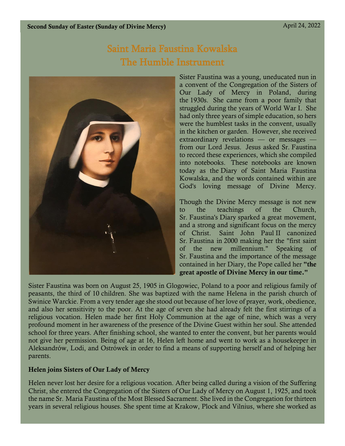## Saint Maria Faustina Kowalska The Humble Instrument



Sister Faustina was a young, uneducated nun in a convent of the Congregation of the Sisters of Our Lady of Mercy in Poland, during the 1930s. She came from a poor family that struggled during the years of World War I. She had only three years of simple education, so hers were the humblest tasks in the convent, usually in the kitchen or garden. However, she received extraordinary revelations — or messages from our Lord Jesus. Jesus asked Sr. Faustina to record these experiences, which she compiled into notebooks. These notebooks are known today as the Diary of Saint Maria Faustina Kowalska, and the words contained within are God's loving message of Divine Mercy.

Though the Divine Mercy message is not new to the teachings of the Church, Sr. Faustina's Diary sparked a great movement, and a strong and significant focus on the mercy of Christ. Saint John Paul II canonized Sr. Faustina in 2000 making her the "first saint of the new millennium." Speaking of Sr. Faustina and the importance of the message contained in her Diary, the Pope called her "the great apostle of Divine Mercy in our time."

Sister Faustina was born on August 25, 1905 in Glogowiec, Poland to a poor and religious family of peasants, the third of 10 children. She was baptized with the name Helena in the parish church of Swinice Warckie. From a very tender age she stood out because of her love of prayer, work, obedience, and also her sensitivity to the poor. At the age of seven she had already felt the first stirrings of a religious vocation. Helen made her first Holy Communion at the age of nine, which was a very profound moment in her awareness of the presence of the Divine Guest within her soul. She attended school for three years. After finishing school, she wanted to enter the convent, but her parents would not give her permission. Being of age at 16, Helen left home and went to work as a housekeeper in Aleksandrów, Lodi, and Ostrówek in order to find a means of supporting herself and of helping her parents.

### Helen joins Sisters of Our Lady of Mercy

Helen never lost her desire for a religious vocation. After being called during a vision of the Suffering Christ, she entered the Congregation of the Sisters of Our Lady of Mercy on August 1, 1925, and took the name Sr. Maria Faustina of the Most Blessed Sacrament. She lived in the Congregation for thirteen years in several religious houses. She spent time at Krakow, Plock and Vilnius, where she worked as